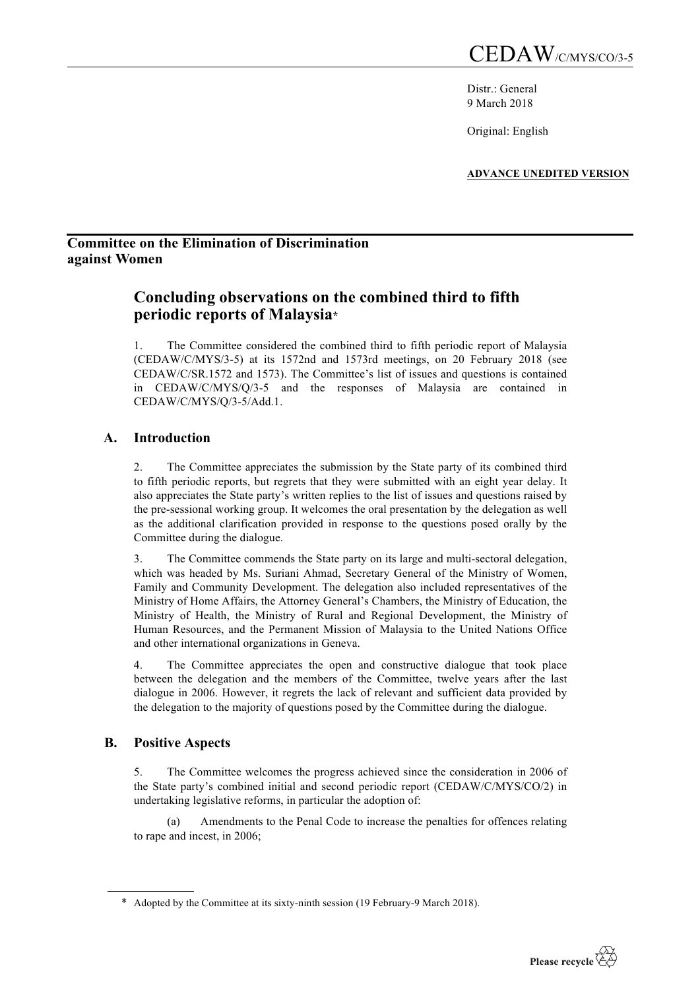Distr · General 9 March 2018

Original: English

**ADVANCE UNEDITED VERSION**

## **Committee on the Elimination of Discrimination against Women**

# **Concluding observations on the combined third to fifth periodic reports of Malaysia\***

1. The Committee considered the combined third to fifth periodic report of Malaysia (CEDAW/C/MYS/3-5) at its 1572nd and 1573rd meetings, on 20 February 2018 (see CEDAW/C/SR.1572 and 1573). The Committee's list of issues and questions is contained in CEDAW/C/MYS/Q/3-5 and the responses of Malaysia are contained in CEDAW/C/MYS/Q/3-5/Add.1.

## **A. Introduction**

2. The Committee appreciates the submission by the State party of its combined third to fifth periodic reports, but regrets that they were submitted with an eight year delay. It also appreciates the State party's written replies to the list of issues and questions raised by the pre-sessional working group. It welcomes the oral presentation by the delegation as well as the additional clarification provided in response to the questions posed orally by the Committee during the dialogue.

3. The Committee commends the State party on its large and multi-sectoral delegation, which was headed by Ms. Suriani Ahmad, Secretary General of the Ministry of Women, Family and Community Development. The delegation also included representatives of the Ministry of Home Affairs, the Attorney General's Chambers, the Ministry of Education, the Ministry of Health, the Ministry of Rural and Regional Development, the Ministry of Human Resources, and the Permanent Mission of Malaysia to the United Nations Office and other international organizations in Geneva.

4. The Committee appreciates the open and constructive dialogue that took place between the delegation and the members of the Committee, twelve years after the last dialogue in 2006. However, it regrets the lack of relevant and sufficient data provided by the delegation to the majority of questions posed by the Committee during the dialogue.

## **B. Positive Aspects**

5. The Committee welcomes the progress achieved since the consideration in 2006 of the State party's combined initial and second periodic report (CEDAW/C/MYS/CO/2) in undertaking legislative reforms, in particular the adoption of:

(a) Amendments to the Penal Code to increase the penalties for offences relating to rape and incest, in 2006;

<sup>\*</sup> Adopted by the Committee at its sixty-ninth session (19 February-9 March 2018).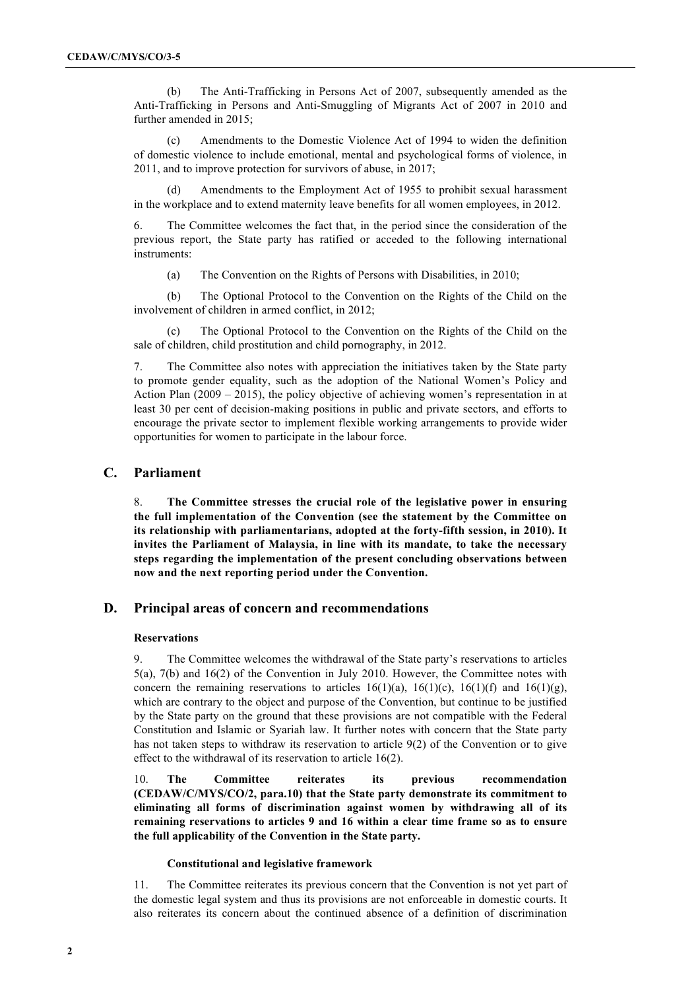(b) The Anti-Trafficking in Persons Act of 2007, subsequently amended as the Anti-Trafficking in Persons and Anti-Smuggling of Migrants Act of 2007 in 2010 and further amended in 2015;

(c) Amendments to the Domestic Violence Act of 1994 to widen the definition of domestic violence to include emotional, mental and psychological forms of violence, in 2011, and to improve protection for survivors of abuse, in 2017;

(d) Amendments to the Employment Act of 1955 to prohibit sexual harassment in the workplace and to extend maternity leave benefits for all women employees, in 2012.

6. The Committee welcomes the fact that, in the period since the consideration of the previous report, the State party has ratified or acceded to the following international instruments:

(a) The Convention on the Rights of Persons with Disabilities, in 2010;

(b) The Optional Protocol to the Convention on the Rights of the Child on the involvement of children in armed conflict, in 2012;

(c) The Optional Protocol to the Convention on the Rights of the Child on the sale of children, child prostitution and child pornography, in 2012.

7. The Committee also notes with appreciation the initiatives taken by the State party to promote gender equality, such as the adoption of the National Women's Policy and Action Plan (2009 – 2015), the policy objective of achieving women's representation in at least 30 per cent of decision-making positions in public and private sectors, and efforts to encourage the private sector to implement flexible working arrangements to provide wider opportunities for women to participate in the labour force.

### **C. Parliament**

8. **The Committee stresses the crucial role of the legislative power in ensuring the full implementation of the Convention (see the statement by the Committee on its relationship with parliamentarians, adopted at the forty-fifth session, in 2010). It invites the Parliament of Malaysia, in line with its mandate, to take the necessary steps regarding the implementation of the present concluding observations between now and the next reporting period under the Convention.**

### **D. Principal areas of concern and recommendations**

### **Reservations**

9. The Committee welcomes the withdrawal of the State party's reservations to articles 5(a), 7(b) and 16(2) of the Convention in July 2010. However, the Committee notes with concern the remaining reservations to articles  $16(1)(a)$ ,  $16(1)(c)$ ,  $16(1)(f)$  and  $16(1)(g)$ , which are contrary to the object and purpose of the Convention, but continue to be justified by the State party on the ground that these provisions are not compatible with the Federal Constitution and Islamic or Syariah law. It further notes with concern that the State party has not taken steps to withdraw its reservation to article 9(2) of the Convention or to give effect to the withdrawal of its reservation to article 16(2).

10. **The Committee reiterates its previous recommendation (CEDAW/C/MYS/CO/2, para.10) that the State party demonstrate its commitment to eliminating all forms of discrimination against women by withdrawing all of its remaining reservations to articles 9 and 16 within a clear time frame so as to ensure the full applicability of the Convention in the State party.** 

#### **Constitutional and legislative framework**

11. The Committee reiterates its previous concern that the Convention is not yet part of the domestic legal system and thus its provisions are not enforceable in domestic courts. It also reiterates its concern about the continued absence of a definition of discrimination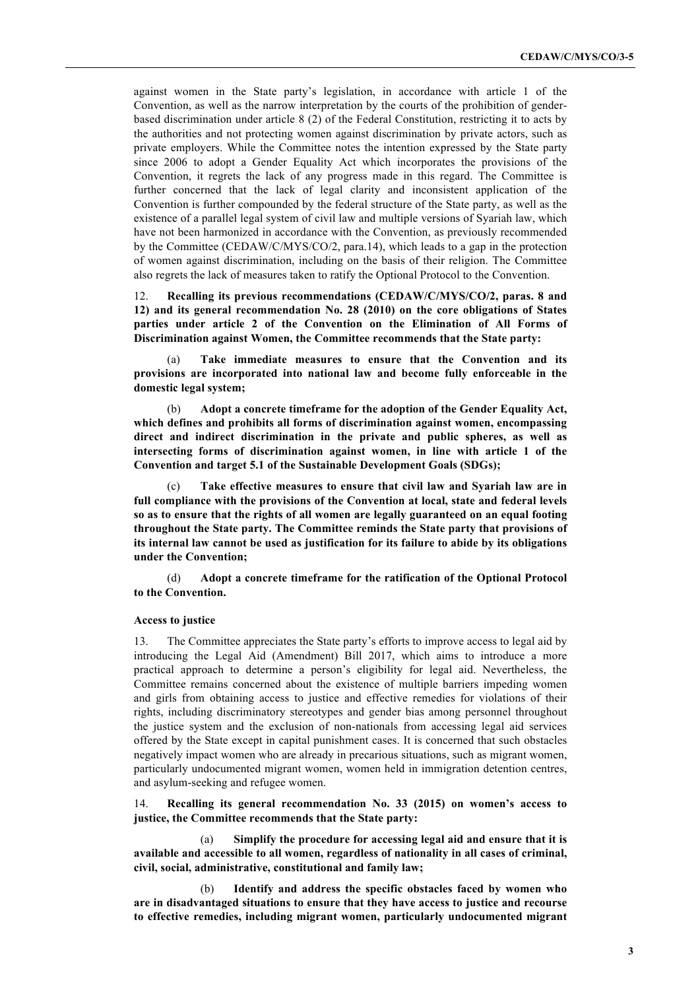against women in the State party's legislation, in accordance with article 1 of the Convention, as well as the narrow interpretation by the courts of the prohibition of genderbased discrimination under article 8 (2) of the Federal Constitution, restricting it to acts by the authorities and not protecting women against discrimination by private actors, such as private employers. While the Committee notes the intention expressed by the State party since 2006 to adopt a Gender Equality Act which incorporates the provisions of the Convention, it regrets the lack of any progress made in this regard. The Committee is further concerned that the lack of legal clarity and inconsistent application of the Convention is further compounded by the federal structure of the State party, as well as the existence of a parallel legal system of civil law and multiple versions of Syariah law, which have not been harmonized in accordance with the Convention, as previously recommended by the Committee (CEDAW/C/MYS/CO/2, para.14), which leads to a gap in the protection of women against discrimination, including on the basis of their religion. The Committee also regrets the lack of measures taken to ratify the Optional Protocol to the Convention.

12. **Recalling its previous recommendations (CEDAW/C/MYS/CO/2, paras. 8 and 12) and its general recommendation No. 28 (2010) on the core obligations of States parties under article 2 of the Convention on the Elimination of All Forms of Discrimination against Women, the Committee recommends that the State party:** 

(a) **Take immediate measures to ensure that the Convention and its provisions are incorporated into national law and become fully enforceable in the domestic legal system;** 

(b) **Adopt a concrete timeframe for the adoption of the Gender Equality Act, which defines and prohibits all forms of discrimination against women, encompassing direct and indirect discrimination in the private and public spheres, as well as intersecting forms of discrimination against women, in line with article 1 of the Convention and target 5.1 of the Sustainable Development Goals (SDGs);** 

(c) **Take effective measures to ensure that civil law and Syariah law are in full compliance with the provisions of the Convention at local, state and federal levels so as to ensure that the rights of all women are legally guaranteed on an equal footing throughout the State party. The Committee reminds the State party that provisions of its internal law cannot be used as justification for its failure to abide by its obligations under the Convention;** 

(d) **Adopt a concrete timeframe for the ratification of the Optional Protocol to the Convention.**

#### **Access to justice**

13. The Committee appreciates the State party's efforts to improve access to legal aid by introducing the Legal Aid (Amendment) Bill 2017, which aims to introduce a more practical approach to determine a person's eligibility for legal aid. Nevertheless, the Committee remains concerned about the existence of multiple barriers impeding women and girls from obtaining access to justice and effective remedies for violations of their rights, including discriminatory stereotypes and gender bias among personnel throughout the justice system and the exclusion of non-nationals from accessing legal aid services offered by the State except in capital punishment cases. It is concerned that such obstacles negatively impact women who are already in precarious situations, such as migrant women, particularly undocumented migrant women, women held in immigration detention centres, and asylum-seeking and refugee women.

14. **Recalling its general recommendation No. 33 (2015) on women's access to justice, the Committee recommends that the State party:** 

(a) **Simplify the procedure for accessing legal aid and ensure that it is available and accessible to all women, regardless of nationality in all cases of criminal, civil, social, administrative, constitutional and family law;**

(b) **Identify and address the specific obstacles faced by women who are in disadvantaged situations to ensure that they have access to justice and recourse to effective remedies, including migrant women, particularly undocumented migrant**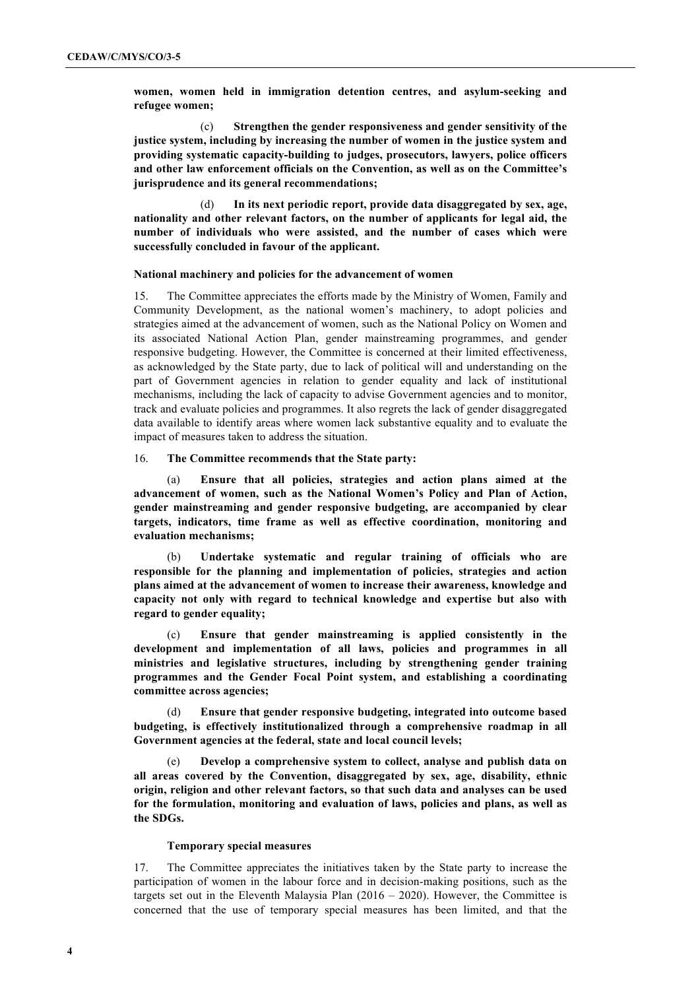**women, women held in immigration detention centres, and asylum-seeking and refugee women;**

(c) **Strengthen the gender responsiveness and gender sensitivity of the justice system, including by increasing the number of women in the justice system and providing systematic capacity-building to judges, prosecutors, lawyers, police officers and other law enforcement officials on the Convention, as well as on the Committee's jurisprudence and its general recommendations;**

(d) **In its next periodic report, provide data disaggregated by sex, age, nationality and other relevant factors, on the number of applicants for legal aid, the number of individuals who were assisted, and the number of cases which were successfully concluded in favour of the applicant.**

#### **National machinery and policies for the advancement of women**

15. The Committee appreciates the efforts made by the Ministry of Women, Family and Community Development, as the national women's machinery, to adopt policies and strategies aimed at the advancement of women, such as the National Policy on Women and its associated National Action Plan, gender mainstreaming programmes, and gender responsive budgeting. However, the Committee is concerned at their limited effectiveness, as acknowledged by the State party, due to lack of political will and understanding on the part of Government agencies in relation to gender equality and lack of institutional mechanisms, including the lack of capacity to advise Government agencies and to monitor, track and evaluate policies and programmes. It also regrets the lack of gender disaggregated data available to identify areas where women lack substantive equality and to evaluate the impact of measures taken to address the situation.

### 16. **The Committee recommends that the State party:**

(a) **Ensure that all policies, strategies and action plans aimed at the advancement of women, such as the National Women's Policy and Plan of Action, gender mainstreaming and gender responsive budgeting, are accompanied by clear targets, indicators, time frame as well as effective coordination, monitoring and evaluation mechanisms;** 

(b) **Undertake systematic and regular training of officials who are responsible for the planning and implementation of policies, strategies and action plans aimed at the advancement of women to increase their awareness, knowledge and capacity not only with regard to technical knowledge and expertise but also with regard to gender equality;** 

(c) **Ensure that gender mainstreaming is applied consistently in the development and implementation of all laws, policies and programmes in all ministries and legislative structures, including by strengthening gender training programmes and the Gender Focal Point system, and establishing a coordinating committee across agencies;** 

(d) **Ensure that gender responsive budgeting, integrated into outcome based budgeting, is effectively institutionalized through a comprehensive roadmap in all Government agencies at the federal, state and local council levels;**

(e) **Develop a comprehensive system to collect, analyse and publish data on all areas covered by the Convention, disaggregated by sex, age, disability, ethnic origin, religion and other relevant factors, so that such data and analyses can be used for the formulation, monitoring and evaluation of laws, policies and plans, as well as the SDGs.**

#### **Temporary special measures**

17. The Committee appreciates the initiatives taken by the State party to increase the participation of women in the labour force and in decision-making positions, such as the targets set out in the Eleventh Malaysia Plan (2016 – 2020). However, the Committee is concerned that the use of temporary special measures has been limited, and that the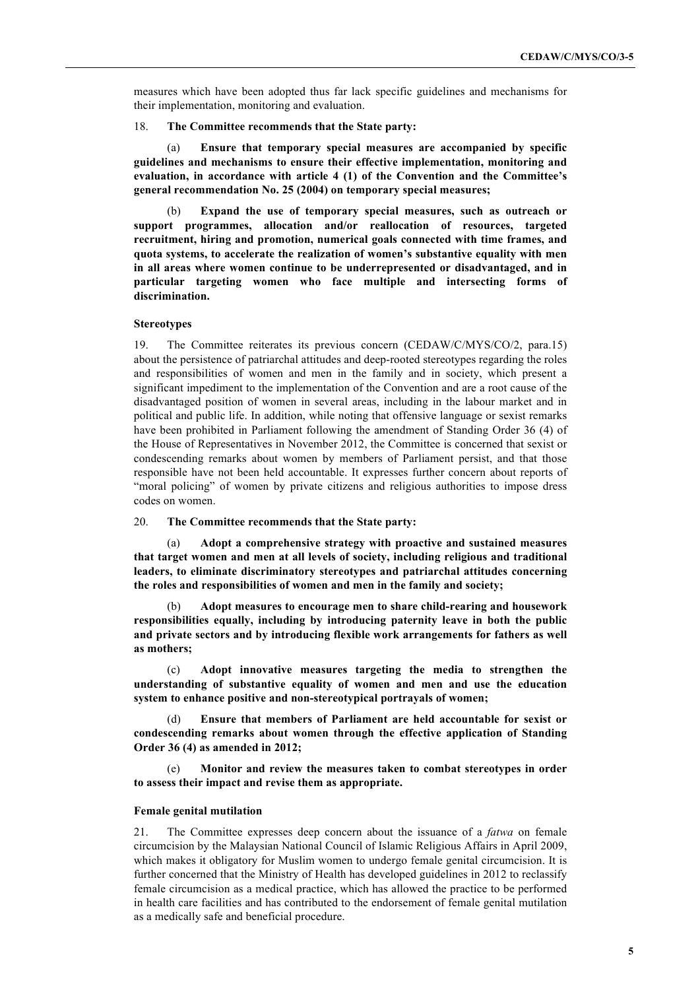measures which have been adopted thus far lack specific guidelines and mechanisms for their implementation, monitoring and evaluation.

#### 18. **The Committee recommends that the State party:**

(a) **Ensure that temporary special measures are accompanied by specific guidelines and mechanisms to ensure their effective implementation, monitoring and evaluation, in accordance with article 4 (1) of the Convention and the Committee's general recommendation No. 25 (2004) on temporary special measures;** 

(b) **Expand the use of temporary special measures, such as outreach or support programmes, allocation and/or reallocation of resources, targeted recruitment, hiring and promotion, numerical goals connected with time frames, and quota systems, to accelerate the realization of women's substantive equality with men in all areas where women continue to be underrepresented or disadvantaged, and in particular targeting women who face multiple and intersecting forms of discrimination.**

### **Stereotypes**

19. The Committee reiterates its previous concern (CEDAW/C/MYS/CO/2, para.15) about the persistence of patriarchal attitudes and deep-rooted stereotypes regarding the roles and responsibilities of women and men in the family and in society, which present a significant impediment to the implementation of the Convention and are a root cause of the disadvantaged position of women in several areas, including in the labour market and in political and public life. In addition, while noting that offensive language or sexist remarks have been prohibited in Parliament following the amendment of Standing Order 36 (4) of the House of Representatives in November 2012, the Committee is concerned that sexist or condescending remarks about women by members of Parliament persist, and that those responsible have not been held accountable. It expresses further concern about reports of "moral policing" of women by private citizens and religious authorities to impose dress codes on women.

### 20. **The Committee recommends that the State party:**

(a) **Adopt a comprehensive strategy with proactive and sustained measures that target women and men at all levels of society, including religious and traditional leaders, to eliminate discriminatory stereotypes and patriarchal attitudes concerning the roles and responsibilities of women and men in the family and society;** 

(b) **Adopt measures to encourage men to share child-rearing and housework responsibilities equally, including by introducing paternity leave in both the public and private sectors and by introducing flexible work arrangements for fathers as well as mothers;** 

(c) **Adopt innovative measures targeting the media to strengthen the understanding of substantive equality of women and men and use the education system to enhance positive and non-stereotypical portrayals of women;** 

(d) **Ensure that members of Parliament are held accountable for sexist or condescending remarks about women through the effective application of Standing Order 36 (4) as amended in 2012;**

(e) **Monitor and review the measures taken to combat stereotypes in order to assess their impact and revise them as appropriate.** 

#### **Female genital mutilation**

21. The Committee expresses deep concern about the issuance of a *fatwa* on female circumcision by the Malaysian National Council of Islamic Religious Affairs in April 2009, which makes it obligatory for Muslim women to undergo female genital circumcision. It is further concerned that the Ministry of Health has developed guidelines in 2012 to reclassify female circumcision as a medical practice, which has allowed the practice to be performed in health care facilities and has contributed to the endorsement of female genital mutilation as a medically safe and beneficial procedure.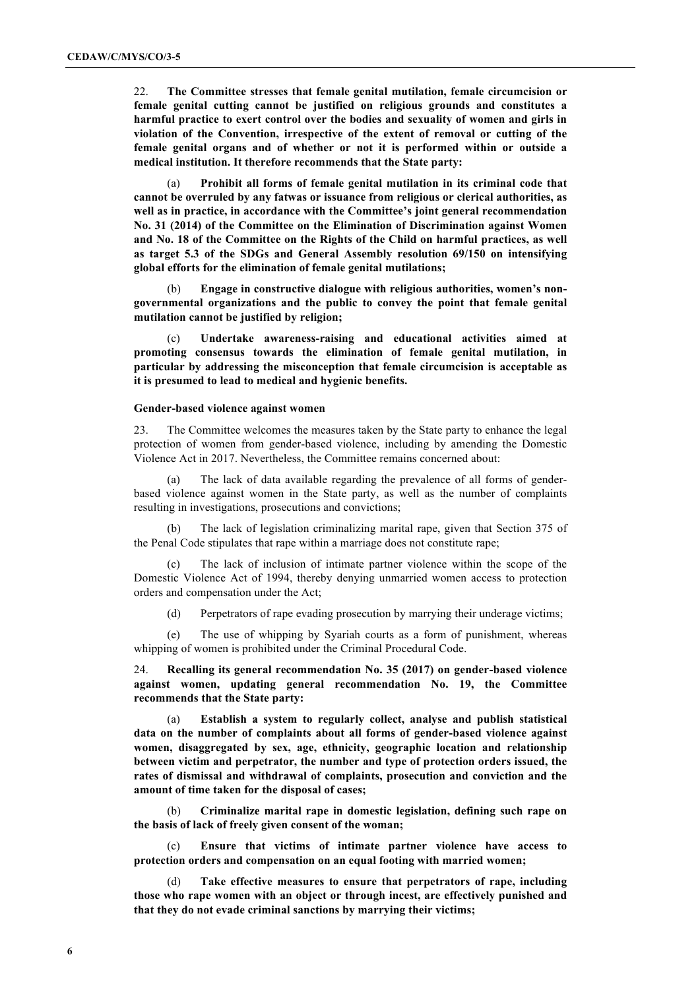22. **The Committee stresses that female genital mutilation, female circumcision or female genital cutting cannot be justified on religious grounds and constitutes a harmful practice to exert control over the bodies and sexuality of women and girls in violation of the Convention, irrespective of the extent of removal or cutting of the female genital organs and of whether or not it is performed within or outside a medical institution. It therefore recommends that the State party:** 

(a) **Prohibit all forms of female genital mutilation in its criminal code that cannot be overruled by any fatwas or issuance from religious or clerical authorities, as well as in practice, in accordance with the Committee's joint general recommendation No. 31 (2014) of the Committee on the Elimination of Discrimination against Women and No. 18 of the Committee on the Rights of the Child on harmful practices, as well as target 5.3 of the SDGs and General Assembly resolution 69/150 on intensifying global efforts for the elimination of female genital mutilations;** 

(b) **Engage in constructive dialogue with religious authorities, women's nongovernmental organizations and the public to convey the point that female genital mutilation cannot be justified by religion;**

(c) **Undertake awareness-raising and educational activities aimed at promoting consensus towards the elimination of female genital mutilation, in particular by addressing the misconception that female circumcision is acceptable as it is presumed to lead to medical and hygienic benefits.**

#### **Gender-based violence against women**

23. The Committee welcomes the measures taken by the State party to enhance the legal protection of women from gender-based violence, including by amending the Domestic Violence Act in 2017. Nevertheless, the Committee remains concerned about:

(a) The lack of data available regarding the prevalence of all forms of genderbased violence against women in the State party, as well as the number of complaints resulting in investigations, prosecutions and convictions;

(b) The lack of legislation criminalizing marital rape, given that Section 375 of the Penal Code stipulates that rape within a marriage does not constitute rape;

The lack of inclusion of intimate partner violence within the scope of the Domestic Violence Act of 1994, thereby denying unmarried women access to protection orders and compensation under the Act;

(d) Perpetrators of rape evading prosecution by marrying their underage victims;

(e) The use of whipping by Syariah courts as a form of punishment, whereas whipping of women is prohibited under the Criminal Procedural Code.

24. **Recalling its general recommendation No. 35 (2017) on gender-based violence against women, updating general recommendation No. 19, the Committee recommends that the State party:**

(a) **Establish a system to regularly collect, analyse and publish statistical data on the number of complaints about all forms of gender-based violence against women, disaggregated by sex, age, ethnicity, geographic location and relationship between victim and perpetrator, the number and type of protection orders issued, the rates of dismissal and withdrawal of complaints, prosecution and conviction and the amount of time taken for the disposal of cases;** 

(b) **Criminalize marital rape in domestic legislation, defining such rape on the basis of lack of freely given consent of the woman;**

(c) **Ensure that victims of intimate partner violence have access to protection orders and compensation on an equal footing with married women;**

(d) **Take effective measures to ensure that perpetrators of rape, including those who rape women with an object or through incest, are effectively punished and that they do not evade criminal sanctions by marrying their victims;**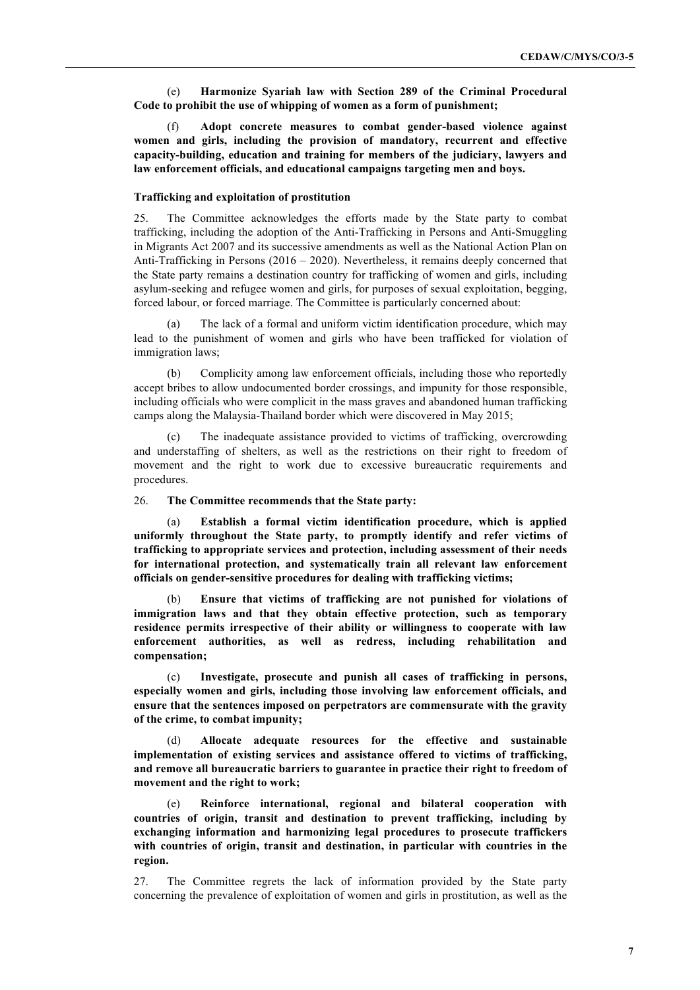(e) **Harmonize Syariah law with Section 289 of the Criminal Procedural Code to prohibit the use of whipping of women as a form of punishment;** 

(f) **Adopt concrete measures to combat gender-based violence against women and girls, including the provision of mandatory, recurrent and effective capacity-building, education and training for members of the judiciary, lawyers and law enforcement officials, and educational campaigns targeting men and boys.**

#### **Trafficking and exploitation of prostitution**

25. The Committee acknowledges the efforts made by the State party to combat trafficking, including the adoption of the Anti-Trafficking in Persons and Anti-Smuggling in Migrants Act 2007 and its successive amendments as well as the National Action Plan on Anti-Trafficking in Persons (2016 – 2020). Nevertheless, it remains deeply concerned that the State party remains a destination country for trafficking of women and girls, including asylum-seeking and refugee women and girls, for purposes of sexual exploitation, begging, forced labour, or forced marriage. The Committee is particularly concerned about:

(a) The lack of a formal and uniform victim identification procedure, which may lead to the punishment of women and girls who have been trafficked for violation of immigration laws;

(b) Complicity among law enforcement officials, including those who reportedly accept bribes to allow undocumented border crossings, and impunity for those responsible, including officials who were complicit in the mass graves and abandoned human trafficking camps along the Malaysia-Thailand border which were discovered in May 2015;

(c) The inadequate assistance provided to victims of trafficking, overcrowding and understaffing of shelters, as well as the restrictions on their right to freedom of movement and the right to work due to excessive bureaucratic requirements and procedures.

### 26. **The Committee recommends that the State party:**

(a) **Establish a formal victim identification procedure, which is applied uniformly throughout the State party, to promptly identify and refer victims of trafficking to appropriate services and protection, including assessment of their needs for international protection, and systematically train all relevant law enforcement officials on gender-sensitive procedures for dealing with trafficking victims;** 

(b) **Ensure that victims of trafficking are not punished for violations of immigration laws and that they obtain effective protection, such as temporary residence permits irrespective of their ability or willingness to cooperate with law enforcement authorities, as well as redress, including rehabilitation and compensation;** 

(c) **Investigate, prosecute and punish all cases of trafficking in persons, especially women and girls, including those involving law enforcement officials, and ensure that the sentences imposed on perpetrators are commensurate with the gravity of the crime, to combat impunity;**

(d) **Allocate adequate resources for the effective and sustainable implementation of existing services and assistance offered to victims of trafficking, and remove all bureaucratic barriers to guarantee in practice their right to freedom of movement and the right to work;**

(e) **Reinforce international, regional and bilateral cooperation with countries of origin, transit and destination to prevent trafficking, including by exchanging information and harmonizing legal procedures to prosecute traffickers with countries of origin, transit and destination, in particular with countries in the region.**

27. The Committee regrets the lack of information provided by the State party concerning the prevalence of exploitation of women and girls in prostitution, as well as the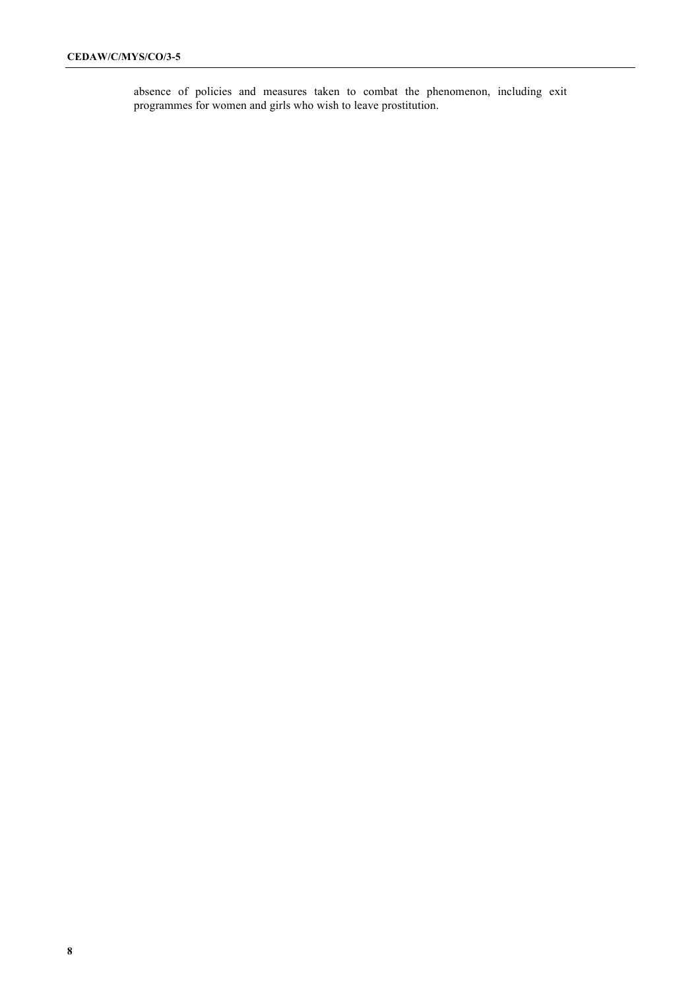absence of policies and measures taken to combat the phenomenon, including exit programmes for women and girls who wish to leave prostitution.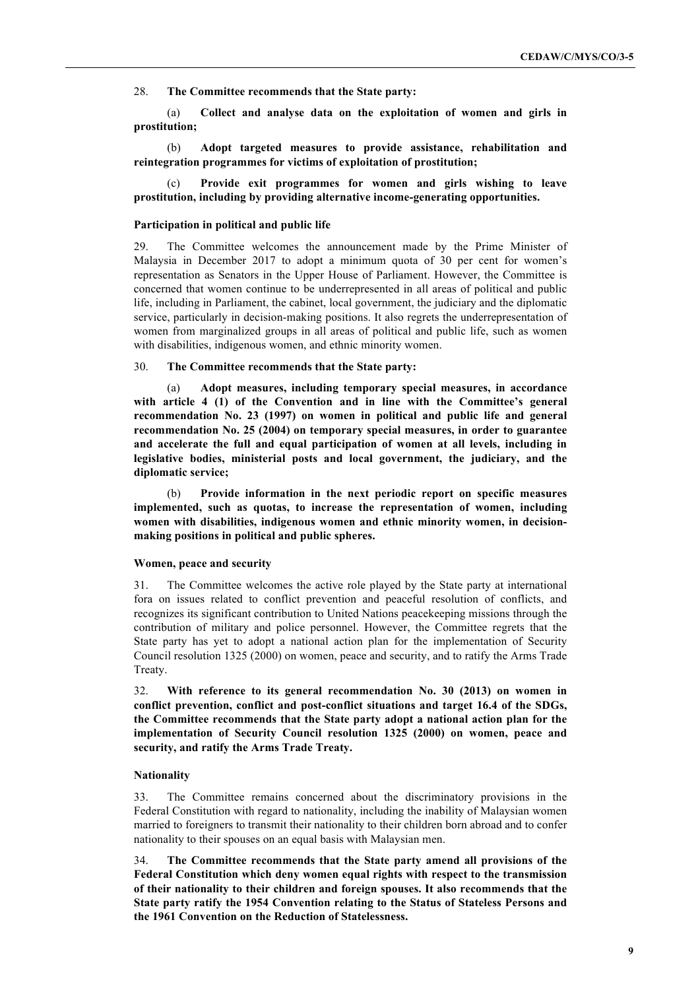28. **The Committee recommends that the State party:**

(a) **Collect and analyse data on the exploitation of women and girls in prostitution;** 

(b) **Adopt targeted measures to provide assistance, rehabilitation and reintegration programmes for victims of exploitation of prostitution;**

Provide exit programmes for women and girls wishing to leave **prostitution, including by providing alternative income-generating opportunities.**

### **Participation in political and public life**

29. The Committee welcomes the announcement made by the Prime Minister of Malaysia in December 2017 to adopt a minimum quota of 30 per cent for women's representation as Senators in the Upper House of Parliament. However, the Committee is concerned that women continue to be underrepresented in all areas of political and public life, including in Parliament, the cabinet, local government, the judiciary and the diplomatic service, particularly in decision-making positions. It also regrets the underrepresentation of women from marginalized groups in all areas of political and public life, such as women with disabilities, indigenous women, and ethnic minority women.

### 30. **The Committee recommends that the State party:**

(a) **Adopt measures, including temporary special measures, in accordance with article 4 (1) of the Convention and in line with the Committee's general recommendation No. 23 (1997) on women in political and public life and general recommendation No. 25 (2004) on temporary special measures, in order to guarantee and accelerate the full and equal participation of women at all levels, including in legislative bodies, ministerial posts and local government, the judiciary, and the diplomatic service;**

(b) **Provide information in the next periodic report on specific measures implemented, such as quotas, to increase the representation of women, including women with disabilities, indigenous women and ethnic minority women, in decisionmaking positions in political and public spheres.**

#### **Women, peace and security**

31. The Committee welcomes the active role played by the State party at international fora on issues related to conflict prevention and peaceful resolution of conflicts, and recognizes its significant contribution to United Nations peacekeeping missions through the contribution of military and police personnel. However, the Committee regrets that the State party has yet to adopt a national action plan for the implementation of Security Council resolution 1325 (2000) on women, peace and security, and to ratify the Arms Trade Treaty.

32. **With reference to its general recommendation No. 30 (2013) on women in conflict prevention, conflict and post-conflict situations and target 16.4 of the SDGs, the Committee recommends that the State party adopt a national action plan for the implementation of Security Council resolution 1325 (2000) on women, peace and security, and ratify the Arms Trade Treaty.**

### **Nationality**

33. The Committee remains concerned about the discriminatory provisions in the Federal Constitution with regard to nationality, including the inability of Malaysian women married to foreigners to transmit their nationality to their children born abroad and to confer nationality to their spouses on an equal basis with Malaysian men.

34. **The Committee recommends that the State party amend all provisions of the Federal Constitution which deny women equal rights with respect to the transmission of their nationality to their children and foreign spouses. It also recommends that the State party ratify the 1954 Convention relating to the Status of Stateless Persons and the 1961 Convention on the Reduction of Statelessness.**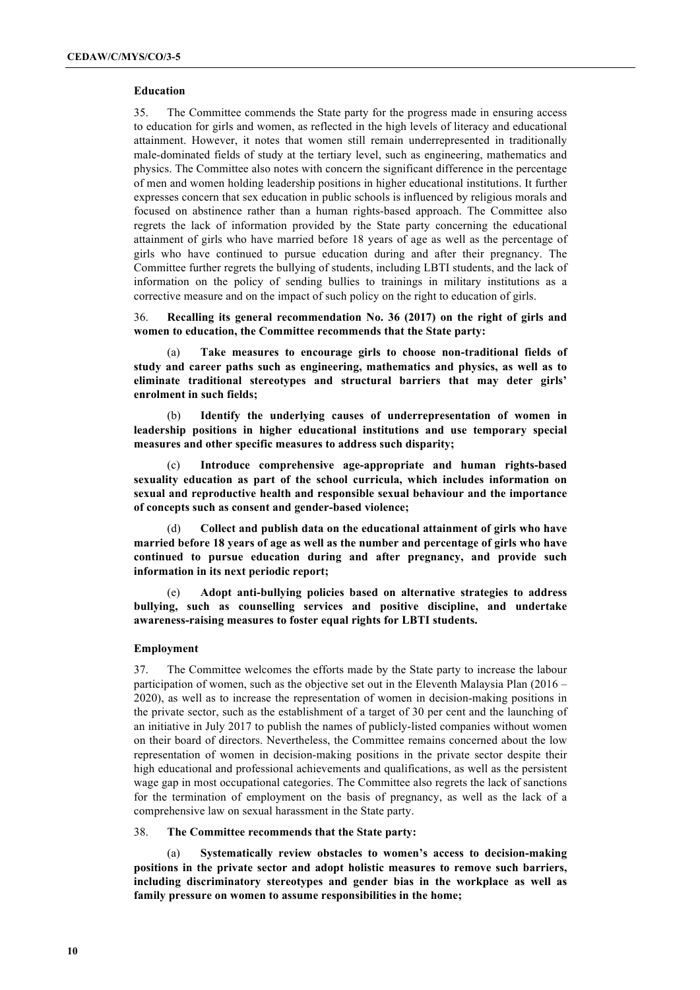### **Education**

35. The Committee commends the State party for the progress made in ensuring access to education for girls and women, as reflected in the high levels of literacy and educational attainment. However, it notes that women still remain underrepresented in traditionally male-dominated fields of study at the tertiary level, such as engineering, mathematics and physics. The Committee also notes with concern the significant difference in the percentage of men and women holding leadership positions in higher educational institutions. It further expresses concern that sex education in public schools is influenced by religious morals and focused on abstinence rather than a human rights-based approach. The Committee also regrets the lack of information provided by the State party concerning the educational attainment of girls who have married before 18 years of age as well as the percentage of girls who have continued to pursue education during and after their pregnancy. The Committee further regrets the bullying of students, including LBTI students, and the lack of information on the policy of sending bullies to trainings in military institutions as a corrective measure and on the impact of such policy on the right to education of girls.

36. **Recalling its general recommendation No. 36 (2017) on the right of girls and women to education, the Committee recommends that the State party:** 

(a) **Take measures to encourage girls to choose non-traditional fields of study and career paths such as engineering, mathematics and physics, as well as to eliminate traditional stereotypes and structural barriers that may deter girls' enrolment in such fields;**

(b) **Identify the underlying causes of underrepresentation of women in leadership positions in higher educational institutions and use temporary special measures and other specific measures to address such disparity;** 

Introduce comprehensive age-appropriate and human rights-based **sexuality education as part of the school curricula, which includes information on sexual and reproductive health and responsible sexual behaviour and the importance of concepts such as consent and gender-based violence;** 

(d) **Collect and publish data on the educational attainment of girls who have married before 18 years of age as well as the number and percentage of girls who have continued to pursue education during and after pregnancy, and provide such information in its next periodic report;**

(e) **Adopt anti-bullying policies based on alternative strategies to address bullying, such as counselling services and positive discipline, and undertake awareness-raising measures to foster equal rights for LBTI students.**

#### **Employment**

37. The Committee welcomes the efforts made by the State party to increase the labour participation of women, such as the objective set out in the Eleventh Malaysia Plan (2016 – 2020), as well as to increase the representation of women in decision-making positions in the private sector, such as the establishment of a target of 30 per cent and the launching of an initiative in July 2017 to publish the names of publicly-listed companies without women on their board of directors. Nevertheless, the Committee remains concerned about the low representation of women in decision-making positions in the private sector despite their high educational and professional achievements and qualifications, as well as the persistent wage gap in most occupational categories. The Committee also regrets the lack of sanctions for the termination of employment on the basis of pregnancy, as well as the lack of a comprehensive law on sexual harassment in the State party.

#### 38. **The Committee recommends that the State party:**

(a) **Systematically review obstacles to women's access to decision-making positions in the private sector and adopt holistic measures to remove such barriers, including discriminatory stereotypes and gender bias in the workplace as well as family pressure on women to assume responsibilities in the home;**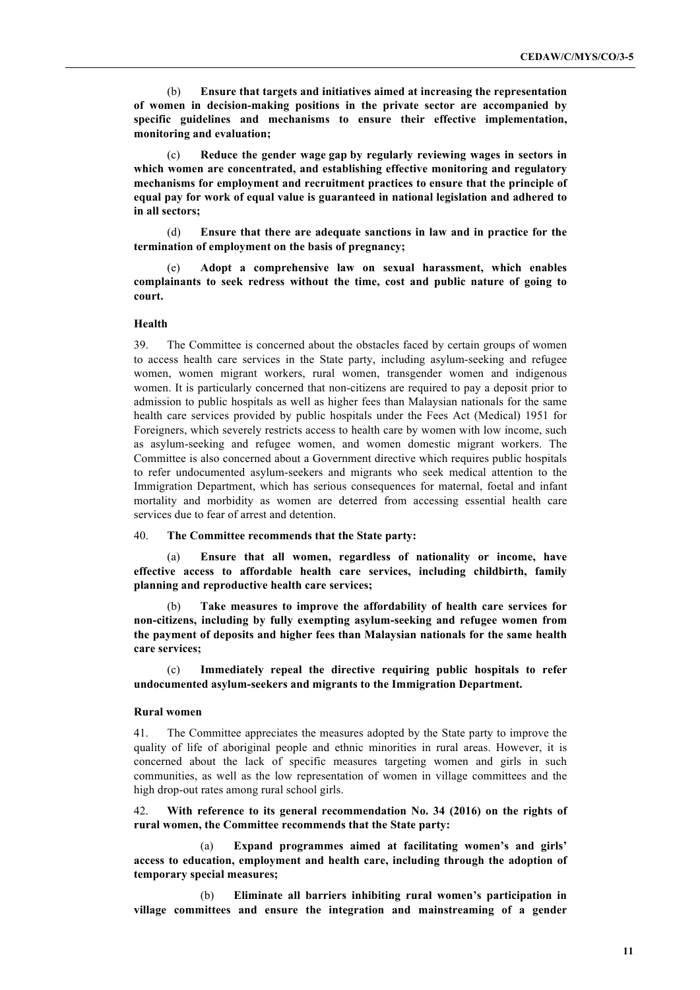(b) **Ensure that targets and initiatives aimed at increasing the representation of women in decision-making positions in the private sector are accompanied by specific guidelines and mechanisms to ensure their effective implementation, monitoring and evaluation;** 

(c) **Reduce the gender wage gap by regularly reviewing wages in sectors in which women are concentrated, and establishing effective monitoring and regulatory mechanisms for employment and recruitment practices to ensure that the principle of equal pay for work of equal value is guaranteed in national legislation and adhered to in all sectors;** 

(d) **Ensure that there are adequate sanctions in law and in practice for the termination of employment on the basis of pregnancy;** 

(e) **Adopt a comprehensive law on sexual harassment, which enables complainants to seek redress without the time, cost and public nature of going to court.** 

#### **Health**

39. The Committee is concerned about the obstacles faced by certain groups of women to access health care services in the State party, including asylum-seeking and refugee women, women migrant workers, rural women, transgender women and indigenous women. It is particularly concerned that non-citizens are required to pay a deposit prior to admission to public hospitals as well as higher fees than Malaysian nationals for the same health care services provided by public hospitals under the Fees Act (Medical) 1951 for Foreigners, which severely restricts access to health care by women with low income, such as asylum-seeking and refugee women, and women domestic migrant workers. The Committee is also concerned about a Government directive which requires public hospitals to refer undocumented asylum-seekers and migrants who seek medical attention to the Immigration Department, which has serious consequences for maternal, foetal and infant mortality and morbidity as women are deterred from accessing essential health care services due to fear of arrest and detention.

40. **The Committee recommends that the State party:** 

(a) **Ensure that all women, regardless of nationality or income, have effective access to affordable health care services, including childbirth, family planning and reproductive health care services;** 

Take measures to improve the affordability of health care services for **non-citizens, including by fully exempting asylum-seeking and refugee women from the payment of deposits and higher fees than Malaysian nationals for the same health care services;** 

(c) **Immediately repeal the directive requiring public hospitals to refer undocumented asylum-seekers and migrants to the Immigration Department.**

#### **Rural women**

41. The Committee appreciates the measures adopted by the State party to improve the quality of life of aboriginal people and ethnic minorities in rural areas. However, it is concerned about the lack of specific measures targeting women and girls in such communities, as well as the low representation of women in village committees and the high drop-out rates among rural school girls.

42. **With reference to its general recommendation No. 34 (2016) on the rights of rural women, the Committee recommends that the State party:**

(a) **Expand programmes aimed at facilitating women's and girls' access to education, employment and health care, including through the adoption of temporary special measures;**

(b) **Eliminate all barriers inhibiting rural women's participation in village committees and ensure the integration and mainstreaming of a gender**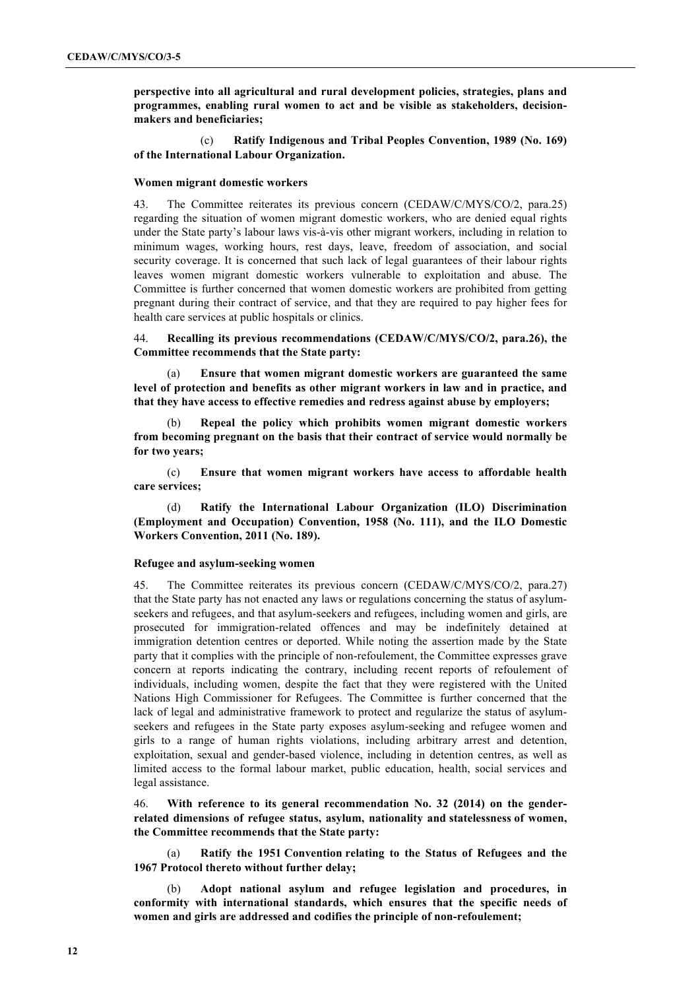**perspective into all agricultural and rural development policies, strategies, plans and programmes, enabling rural women to act and be visible as stakeholders, decisionmakers and beneficiaries;**

(c) **Ratify Indigenous and Tribal Peoples Convention, 1989 (No. 169) of the International Labour Organization.**

### **Women migrant domestic workers**

43. The Committee reiterates its previous concern (CEDAW/C/MYS/CO/2, para.25) regarding the situation of women migrant domestic workers, who are denied equal rights under the State party's labour laws vis-à-vis other migrant workers, including in relation to minimum wages, working hours, rest days, leave, freedom of association, and social security coverage. It is concerned that such lack of legal guarantees of their labour rights leaves women migrant domestic workers vulnerable to exploitation and abuse. The Committee is further concerned that women domestic workers are prohibited from getting pregnant during their contract of service, and that they are required to pay higher fees for health care services at public hospitals or clinics.

44. **Recalling its previous recommendations (CEDAW/C/MYS/CO/2, para.26), the Committee recommends that the State party:** 

(a) **Ensure that women migrant domestic workers are guaranteed the same level of protection and benefits as other migrant workers in law and in practice, and that they have access to effective remedies and redress against abuse by employers;**

(b) **Repeal the policy which prohibits women migrant domestic workers from becoming pregnant on the basis that their contract of service would normally be for two years;**

(c) **Ensure that women migrant workers have access to affordable health care services;** 

(d) **Ratify the International Labour Organization (ILO) Discrimination (Employment and Occupation) Convention, 1958 (No. 111), and the ILO Domestic Workers Convention, 2011 (No. 189).** 

### **Refugee and asylum-seeking women**

45. The Committee reiterates its previous concern (CEDAW/C/MYS/CO/2, para.27) that the State party has not enacted any laws or regulations concerning the status of asylumseekers and refugees, and that asylum-seekers and refugees, including women and girls, are prosecuted for immigration-related offences and may be indefinitely detained at immigration detention centres or deported. While noting the assertion made by the State party that it complies with the principle of non-refoulement, the Committee expresses grave concern at reports indicating the contrary, including recent reports of refoulement of individuals, including women, despite the fact that they were registered with the United Nations High Commissioner for Refugees. The Committee is further concerned that the lack of legal and administrative framework to protect and regularize the status of asylumseekers and refugees in the State party exposes asylum-seeking and refugee women and girls to a range of human rights violations, including arbitrary arrest and detention, exploitation, sexual and gender-based violence, including in detention centres, as well as limited access to the formal labour market, public education, health, social services and legal assistance.

46. **With reference to its general recommendation No. 32 (2014) on the genderrelated dimensions of refugee status, asylum, nationality and statelessness of women, the Committee recommends that the State party:** 

(a) **Ratify the 1951 Convention relating to the Status of Refugees and the 1967 Protocol thereto without further delay;** 

(b) **Adopt national asylum and refugee legislation and procedures, in conformity with international standards, which ensures that the specific needs of women and girls are addressed and codifies the principle of non-refoulement;**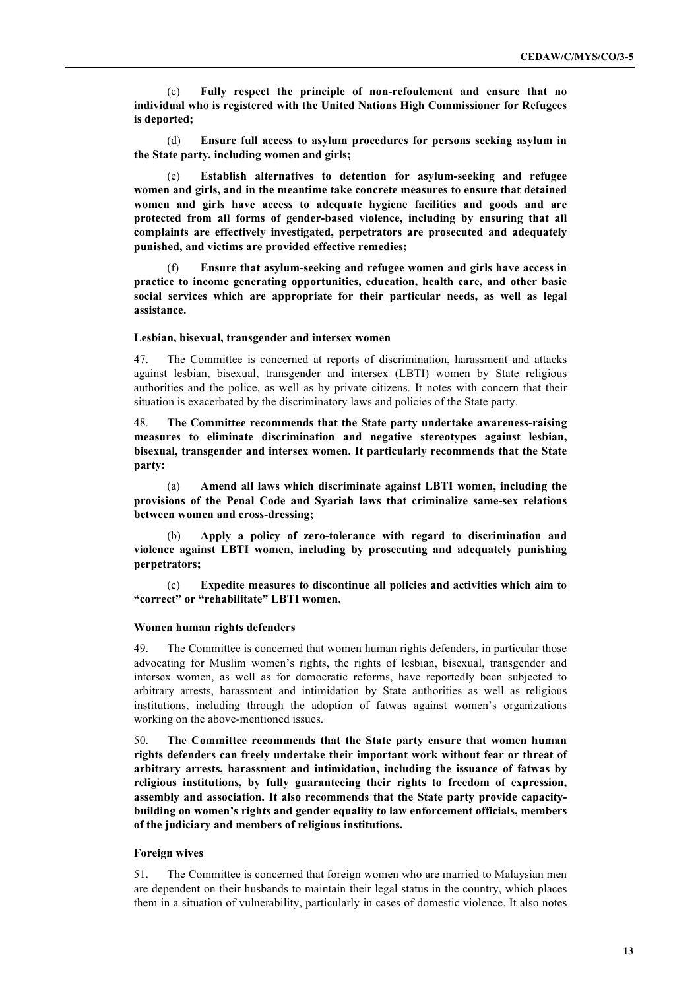(c) **Fully respect the principle of non-refoulement and ensure that no individual who is registered with the United Nations High Commissioner for Refugees is deported;**

(d) **Ensure full access to asylum procedures for persons seeking asylum in the State party, including women and girls;**

Establish alternatives to detention for asylum-seeking and refugee **women and girls, and in the meantime take concrete measures to ensure that detained women and girls have access to adequate hygiene facilities and goods and are protected from all forms of gender-based violence, including by ensuring that all complaints are effectively investigated, perpetrators are prosecuted and adequately punished, and victims are provided effective remedies;** 

(f) **Ensure that asylum-seeking and refugee women and girls have access in practice to income generating opportunities, education, health care, and other basic social services which are appropriate for their particular needs, as well as legal assistance.**

#### **Lesbian, bisexual, transgender and intersex women**

47. The Committee is concerned at reports of discrimination, harassment and attacks against lesbian, bisexual, transgender and intersex (LBTI) women by State religious authorities and the police, as well as by private citizens. It notes with concern that their situation is exacerbated by the discriminatory laws and policies of the State party.

48. **The Committee recommends that the State party undertake awareness-raising measures to eliminate discrimination and negative stereotypes against lesbian, bisexual, transgender and intersex women. It particularly recommends that the State party:** 

(a) **Amend all laws which discriminate against LBTI women, including the provisions of the Penal Code and Syariah laws that criminalize same-sex relations between women and cross-dressing;** 

(b) **Apply a policy of zero-tolerance with regard to discrimination and violence against LBTI women, including by prosecuting and adequately punishing perpetrators;**

(c) **Expedite measures to discontinue all policies and activities which aim to "correct" or "rehabilitate" LBTI women.**

### **Women human rights defenders**

49. The Committee is concerned that women human rights defenders, in particular those advocating for Muslim women's rights, the rights of lesbian, bisexual, transgender and intersex women, as well as for democratic reforms, have reportedly been subjected to arbitrary arrests, harassment and intimidation by State authorities as well as religious institutions, including through the adoption of fatwas against women's organizations working on the above-mentioned issues.

50. **The Committee recommends that the State party ensure that women human rights defenders can freely undertake their important work without fear or threat of arbitrary arrests, harassment and intimidation, including the issuance of fatwas by religious institutions, by fully guaranteeing their rights to freedom of expression, assembly and association. It also recommends that the State party provide capacitybuilding on women's rights and gender equality to law enforcement officials, members of the judiciary and members of religious institutions.**

### **Foreign wives**

51. The Committee is concerned that foreign women who are married to Malaysian men are dependent on their husbands to maintain their legal status in the country, which places them in a situation of vulnerability, particularly in cases of domestic violence. It also notes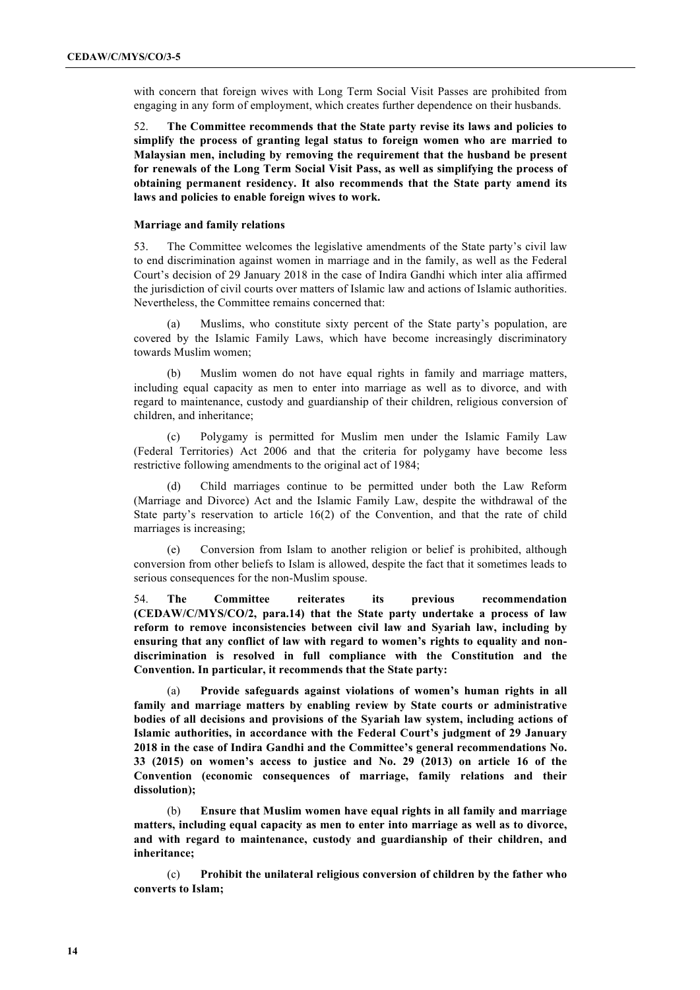with concern that foreign wives with Long Term Social Visit Passes are prohibited from engaging in any form of employment, which creates further dependence on their husbands.

52. **The Committee recommends that the State party revise its laws and policies to simplify the process of granting legal status to foreign women who are married to Malaysian men, including by removing the requirement that the husband be present for renewals of the Long Term Social Visit Pass, as well as simplifying the process of obtaining permanent residency. It also recommends that the State party amend its laws and policies to enable foreign wives to work.** 

### **Marriage and family relations**

53. The Committee welcomes the legislative amendments of the State party's civil law to end discrimination against women in marriage and in the family, as well as the Federal Court's decision of 29 January 2018 in the case of Indira Gandhi which inter alia affirmed the jurisdiction of civil courts over matters of Islamic law and actions of Islamic authorities. Nevertheless, the Committee remains concerned that:

(a) Muslims, who constitute sixty percent of the State party's population, are covered by the Islamic Family Laws, which have become increasingly discriminatory towards Muslim women;

(b) Muslim women do not have equal rights in family and marriage matters, including equal capacity as men to enter into marriage as well as to divorce, and with regard to maintenance, custody and guardianship of their children, religious conversion of children, and inheritance;

(c) Polygamy is permitted for Muslim men under the Islamic Family Law (Federal Territories) Act 2006 and that the criteria for polygamy have become less restrictive following amendments to the original act of 1984;

(d) Child marriages continue to be permitted under both the Law Reform (Marriage and Divorce) Act and the Islamic Family Law, despite the withdrawal of the State party's reservation to article 16(2) of the Convention, and that the rate of child marriages is increasing;

(e) Conversion from Islam to another religion or belief is prohibited, although conversion from other beliefs to Islam is allowed, despite the fact that it sometimes leads to serious consequences for the non-Muslim spouse.

54. **The Committee reiterates its previous recommendation (CEDAW/C/MYS/CO/2, para.14) that the State party undertake a process of law reform to remove inconsistencies between civil law and Syariah law, including by ensuring that any conflict of law with regard to women's rights to equality and nondiscrimination is resolved in full compliance with the Constitution and the Convention. In particular, it recommends that the State party:** 

(a) **Provide safeguards against violations of women's human rights in all family and marriage matters by enabling review by State courts or administrative bodies of all decisions and provisions of the Syariah law system, including actions of Islamic authorities, in accordance with the Federal Court's judgment of 29 January 2018 in the case of Indira Gandhi and the Committee's general recommendations No. 33 (2015) on women's access to justice and No. 29 (2013) on article 16 of the Convention (economic consequences of marriage, family relations and their dissolution);** 

(b) **Ensure that Muslim women have equal rights in all family and marriage matters, including equal capacity as men to enter into marriage as well as to divorce, and with regard to maintenance, custody and guardianship of their children, and inheritance;** 

(c) **Prohibit the unilateral religious conversion of children by the father who converts to Islam;**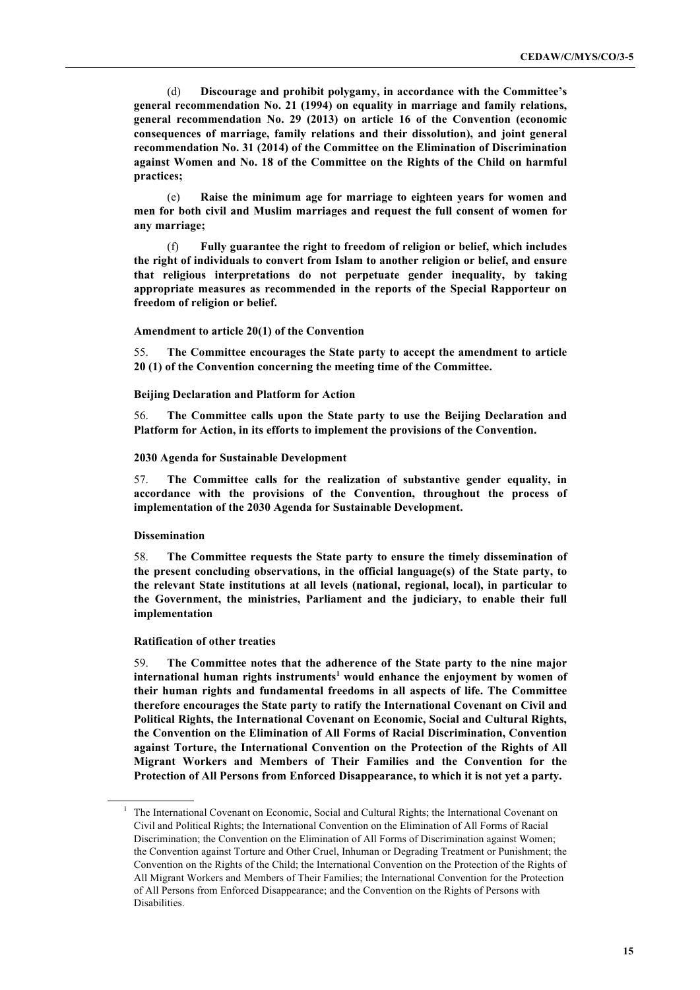(d) **Discourage and prohibit polygamy, in accordance with the Committee's general recommendation No. 21 (1994) on equality in marriage and family relations, general recommendation No. 29 (2013) on article 16 of the Convention (economic consequences of marriage, family relations and their dissolution), and joint general recommendation No. 31 (2014) of the Committee on the Elimination of Discrimination against Women and No. 18 of the Committee on the Rights of the Child on harmful practices;** 

(e) **Raise the minimum age for marriage to eighteen years for women and men for both civil and Muslim marriages and request the full consent of women for any marriage;**

(f) **Fully guarantee the right to freedom of religion or belief, which includes the right of individuals to convert from Islam to another religion or belief, and ensure that religious interpretations do not perpetuate gender inequality, by taking appropriate measures as recommended in the reports of the Special Rapporteur on freedom of religion or belief.**

### **Amendment to article 20(1) of the Convention**

55. **The Committee encourages the State party to accept the amendment to article 20 (1) of the Convention concerning the meeting time of the Committee.** 

### **Beijing Declaration and Platform for Action**

56. **The Committee calls upon the State party to use the Beijing Declaration and Platform for Action, in its efforts to implement the provisions of the Convention.**

#### **2030 Agenda for Sustainable Development**

57. **The Committee calls for the realization of substantive gender equality, in accordance with the provisions of the Convention, throughout the process of implementation of the 2030 Agenda for Sustainable Development.**

### **Dissemination**

58. **The Committee requests the State party to ensure the timely dissemination of the present concluding observations, in the official language(s) of the State party, to the relevant State institutions at all levels (national, regional, local), in particular to the Government, the ministries, Parliament and the judiciary, to enable their full implementation**

**Ratification of other treaties** 

59. **The Committee notes that the adherence of the State party to the nine major international human rights instruments<sup>1</sup> would enhance the enjoyment by women of their human rights and fundamental freedoms in all aspects of life. The Committee therefore encourages the State party to ratify the International Covenant on Civil and Political Rights, the International Covenant on Economic, Social and Cultural Rights, the Convention on the Elimination of All Forms of Racial Discrimination, Convention against Torture, the International Convention on the Protection of the Rights of All Migrant Workers and Members of Their Families and the Convention for the Protection of All Persons from Enforced Disappearance, to which it is not yet a party.**

<sup>1</sup> The International Covenant on Economic, Social and Cultural Rights; the International Covenant on Civil and Political Rights; the International Convention on the Elimination of All Forms of Racial Discrimination; the Convention on the Elimination of All Forms of Discrimination against Women; the Convention against Torture and Other Cruel, Inhuman or Degrading Treatment or Punishment; the Convention on the Rights of the Child; the International Convention on the Protection of the Rights of All Migrant Workers and Members of Their Families; the International Convention for the Protection of All Persons from Enforced Disappearance; and the Convention on the Rights of Persons with Disabilities.